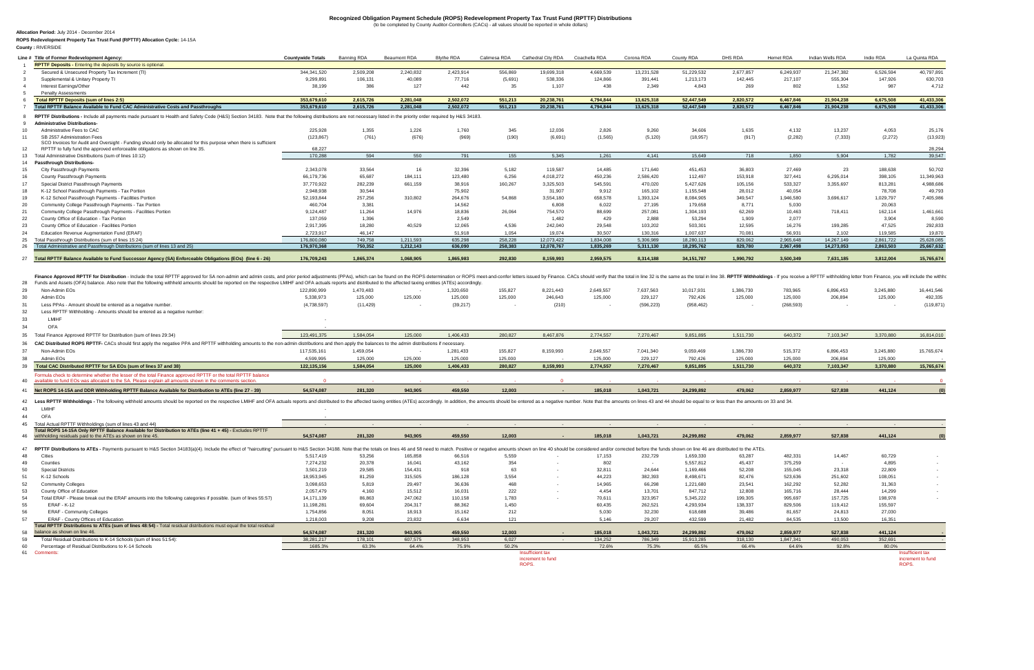4041 Net ROPS 14-15A and DDR Withholding RPTTF Balance Available for Distribution to ATEs (line 27 - 39) 54,574,087 54,574,087 281,320 943,905 459,550 12,003 - 185,018 1,043,721 24,299,892 479,062 2,859,977 527,838 441,124 ( available to fund EOs was allocated to the SA. Please explain all amounts shown in the comme

42 Less RPTTF Withholdings - The following withheld amounts should be reported on the respective LMIHF and OFA actuals reports and distributed to the affected taxing entities (ATEs) accordingly. In addition, the amounts sh 43 43 LMIHF -

44 ОFA <del>- поставили в стали в стали в стали в стали в стали в стали в стали в стали в стали в стали в стали в ст</del>

37

| 29 Non-Admin EOs                                              | 122.890.999 | 1,470,483 |         | 1,320,650 | 155,827 | 8.221.443 | 2,649,557 | 7,637,563       | 10,017,931 | 1,386,730 | 783,965    | 6,896,453 | 3,245,880 | 16.441.546 |
|---------------------------------------------------------------|-------------|-----------|---------|-----------|---------|-----------|-----------|-----------------|------------|-----------|------------|-----------|-----------|------------|
| 30 Admin EOs                                                  | 5,338,973   | 125,000   | 125.000 | 125,000   | 125,000 | 246,643   |           | 125,000 229,127 | 792,426    | 125,000   | 125,000    | 206,894   | 125,000   | 492,335    |
| 31 Less PPAs - Amount should be entered as a negative number. | (4,738,597) | (11.429)  |         | (39.217)  |         | (210)     |           | (596, 223)      | (958, 462) |           | (268, 593) |           |           | (119, 871) |

32 Less RPTTF Withholding - Amounts should be entered as a negative number:

33 LMIHF - 34 OFA -

| Line # Title of Former Redevelopment Agency                                                                                                                                                                         | <b>Countvwide Totals</b> | Banning RDA | Beaumont RDA | <b>Blythe RDA</b> | Calimesa RDA | Cathedral City RDA | Coachella RDA | Corona RDA | County RDA   | DHS RDA   | Hemet RDA | Indian Wells RDA | Indio RDA | La Quinta RDA |
|---------------------------------------------------------------------------------------------------------------------------------------------------------------------------------------------------------------------|--------------------------|-------------|--------------|-------------------|--------------|--------------------|---------------|------------|--------------|-----------|-----------|------------------|-----------|---------------|
| <b>RPTTF Deposits - Entering the deposits by source is optional.</b>                                                                                                                                                |                          |             |              |                   |              |                    |               |            |              |           |           |                  |           |               |
| Secured & Unsecured Property Tax Increment (TI)                                                                                                                                                                     | 344,341,520              | 2,509,208   | 2,240,832    | 2,423,914         | 556,869      | 19,699,318         | 4,669,539     | 13,231,528 | 51,229,532   | 2,677,857 | 6,249,937 | 21,347,382       | 6,526,594 | 40.797.891    |
| Supplemental & Unitary Property TI                                                                                                                                                                                  | 9.299.891                | 106,131     | 40,089       | 77,716            | (5,691)      | 538,336            | 124,866       | 391,441    | 1,213,173    | 142,445   | 217,107   | 555,304          | 147,926   | 630,703       |
| Interest Earnings/Other                                                                                                                                                                                             | 38,199                   | 386         | 127          | 442               | 35           | 1,107              | 438           | 2,349      | 4,843        | 269       | 802       | 1.552            | 987       | 4,712         |
| <b>Penalty Assessments</b>                                                                                                                                                                                          |                          |             |              |                   |              |                    |               |            |              |           |           |                  |           |               |
| <b>Total RPTTF Deposits (sum of lines 2:5)</b>                                                                                                                                                                      | 353.679.610              | 2,615,726   | 2.281.048    | 2.502.072         | 551,213      | 20.238.761         | 4.794.844     | 13.625.318 | 52.447.549   | 2,820,572 | 6.467.846 | 21,904,238       | 6,675,508 | 41.433.306    |
| Total RPTTF Balance Available to Fund CAC Administrative Costs and Passthroughs                                                                                                                                     | 353.679.610              | 2,615,726   | 2,281,048    | 2,502,072         | 551,213      | 20.238.761         | 4,794,844     | 13.625.318 | 52.447.549   | 2,820,572 | 6,467,846 | 21,904,238       | 6,675,508 | 41,433,306    |
| RPTTF Distributions - Include all payments made pursuant to Health and Safety Code (H&S) Section 34183. Note that the following distributions are not necessary listed in the priority order required by H&S 34183. |                          |             |              |                   |              |                    |               |            |              |           |           |                  |           |               |
| <b>Administrative Distributions-</b>                                                                                                                                                                                |                          |             |              |                   |              |                    |               |            |              |           |           |                  |           |               |
| Administrative Fees to CAC                                                                                                                                                                                          | 225,928                  | 1,355       | 1,226        | 1,760             | 345          | 12,036             | 2,826         | 9,260      | 34,606       | 1,635     | 4,132     | 13,237           | 4,053     | 25,176        |
| SB 2557 Administration Fees                                                                                                                                                                                         | (123, 867)               | (761)       | (676)        | (969)             | (190)        | (6,691)            | (1, 565)      | (5, 120)   | (18, 957)    | (917)     | (2, 282)  | (7, 333)         | (2,272)   | (13, 923)     |
| SCO Invoices for Audit and Oversight - Funding should only be allocated for this purpose when there is sufficient                                                                                                   |                          |             |              |                   |              |                    |               |            |              |           |           |                  |           |               |
| RPTTF to fully fund the approved enforceable obligations as shown on line 35.                                                                                                                                       | 68.227                   |             |              |                   |              |                    |               |            |              |           |           |                  |           | 28,294        |
| Total Administrative Distributions (sum of lines 10:12)                                                                                                                                                             | 170.288                  | 594         | 550          | 791               | 155          | 5.345              | 1,261         | 4.141      | 15.649       | 718       | 1.850     | 5.904            | 1.782     | 39,547        |
| 14 Passthrough Distributions-                                                                                                                                                                                       |                          |             |              |                   |              |                    |               |            |              |           |           |                  |           |               |
| City Passthrough Payments                                                                                                                                                                                           | 2,343,078                | 33,564      | 16           | 32,396            | 5,182        | 119,587            | 14,485        | 171,640    | 451,453      | 36,803    | 27,469    |                  | 188,638   | 50,702        |
| County Passthrough Payments                                                                                                                                                                                         | 66,179,736               | 65,687      | 184,111      | 123,480           | 6,256        | 4,018,272          | 450,236       | 2,586,420  | 112,497      | 153,918   | 327,441   | 6,295,014        | 398,105   | 11.349.963    |
| Special District Passthrough Payments                                                                                                                                                                               | 37,770,922               | 282,239     | 661,159      | 38,916            | 160,267      | 3,325,503          | 545,591       | 470,020    | 5,427,626    | 105,156   | 533,327   | 3,355,697        | 813,281   | 4,988,686     |
| K-12 School Passthrough Payments - Tax Portion                                                                                                                                                                      | 2,948,938                | 30,544      |              | 75,902            |              | 31,907             | 9,912         | 165,102    | 1,155,548    | 28,012    | 40,054    |                  | 78,708    | 49,793        |
| K-12 School Passthrough Payments - Facilities Portion                                                                                                                                                               | 52,193,844               | 257,256     | 310,802      | 264,676           | 54,868       | 3,554,180          | 658,578       | 1,393,124  | 8,084,905    | 349,547   | 1,946,580 | 3,696,617        | 1,029,797 | 7,405,986     |
| Community College Passthrough Payments - Tax Portion                                                                                                                                                                | 460,704                  | 3,381       |              | 14,562            |              | 6,808              | 6,022         | 27,195     | 179,658      | 8,771     | 5,030     |                  | 20,063    |               |
| Community College Passthrough Payments - Facilities Portion                                                                                                                                                         | 9,124,487                | 11,264      | 14,976       | 18,836            | 26,064       | 754,570            | 88,699        | 257,081    | 1,304,193    | 62,269    | 10,463    | 718,411          | 162,114   | 1,461,661     |
| County Office of Education - Tax Portion                                                                                                                                                                            | 137,059                  | 1,396       |              | 2,549             |              | 1,482              | 429           | 2,888      | 53,294       | 1,909     | 2,077     |                  | 3,904     | 8,590         |
| County Office of Education - Facilities Portion                                                                                                                                                                     | 2,917,395                | 18,280      | 40,529       | 12,065            | 4,536        | 242,040            | 29,548        | 103,202    | 503,301      | 12,595    | 16,276    | 199,285          | 47,525    | 292,833       |
| Education Revenue Augmentation Fund (ERAF)                                                                                                                                                                          | 2.723.917                | 46.147      |              | 51.918            | 1.054        | 19.074             | 30.507        | 130,316    | 1.007.637    | 70.081    | 56.931    | 2.102            | 119.585   | 19,870        |
| Total Passthrough Distributions (sum of lines 15:24)                                                                                                                                                                | 176,800,080              | 749,758     | 1.211.593    | 635.298           | 258,228      | 12.073.422         | 1.834.008     | 5.306.989  | 18.280.113   | 829.062   | 2.965.648 | 14.267.149       | 2.861.722 | 25.628.085    |
| Total Administrative and Passthrough Distributions (sum of lines 13 and 25)                                                                                                                                         | 176,970,368              | 750.352     | 1.212.143    | 636.090           | 258.383      | 12.078.767         | 1.835.269     | 5.311.130  | 18,295,762   | 829,780   | 2,967,498 | 14,273,053       | 2,863,503 | 25,667,632    |
|                                                                                                                                                                                                                     |                          |             |              |                   | 292,830      | 8.159.993          | 2.959.575     | 8,314,188  | 34, 151, 787 | 1,990,792 | 3.500.349 | 7,631,185        | 3,812,004 | 15,765,674    |

| 35 Total Finance Approved RPTTF for Distribution (sum of lines 29:34)                                                                                                                                  | 123,491,375 | 1,584,054 | 125,000 | 1,406,433 | 280.827 | 8.467.876 | 2.774.557 | 7,270,467 | 9,851,895  | 1,511,730 | 640,372   | 7,103,347 | 3,370,880 | 16,814,010 |
|--------------------------------------------------------------------------------------------------------------------------------------------------------------------------------------------------------|-------------|-----------|---------|-----------|---------|-----------|-----------|-----------|------------|-----------|-----------|-----------|-----------|------------|
| CAC Distributed ROPS RPTTF- CACs should first apply the negative PPA and RPTTF withholding amounts to the non-admin distributions and then apply the balances to the admin distributions if necessary. |             |           |         |           |         |           |           |           |            |           |           |           |           |            |
| Non-Admin EOs                                                                                                                                                                                          | 117,535,161 | 1,459,054 |         | 1,281,433 | 155,827 | 8,159,993 | 2,649,557 | 7,041,340 | 9,059,469  | 1,386,730 | 515,372   | 6,896,453 | 3,245,880 | 15,765,674 |
| Admin EOs                                                                                                                                                                                              | 4.599.995   | 125,000   | 125.000 | 125.000   | 125,000 |           | 125.000   | 229,127   | 792,426    | 125,000   | 125,000   | 206,894   | 125,000   |            |
| Total CAC Distributed RPTTF for SA EOs (sum of lines 37 and 38)                                                                                                                                        | 122,135,156 | 1,584,054 | 125,000 | 1,406,433 | 280,827 | 8,159,993 | 2,774,557 | 7,270,467 | 9,851,895  | 1,511,730 | 640,372   | 7,103,347 | 3,370,880 | 15,765,674 |
| Formula check to determine whether the lesser of the total Finance approved RPTTF or the total RPTTF balance                                                                                           |             |           |         |           |         |           |           |           |            |           |           |           |           |            |
| 40 available to fund EOs was allocated to the SA. Please explain all amounts shown in the comments section.                                                                                            |             |           |         |           |         |           |           |           |            |           |           |           |           |            |
| Net ROPS 14-15A and DDR Withholding RPTTF Balance Available for Distribution to ATEs (line 27 - 39)                                                                                                    | 54,574,087  | 281,320   | 943,905 | 459,550   | 12,003  |           | 185.018   | 1,043,721 | 24,299,892 | 479,062   | 2,859,977 | 527,838   | 441,124   |            |
|                                                                                                                                                                                                        |             |           |         |           |         |           |           |           |            |           |           |           |           |            |

39

increment to fund ROPS.

increment to fund ROPS.

## **Allocation Period:** July 2014 - December 2014

| 45 | Total Actual RPTTF Withholdings (sum of lines 43 and 44)                                                                                                                                                                      |            |         |         |         |        |                  |         |           |            |         |           |         |                  |              |
|----|-------------------------------------------------------------------------------------------------------------------------------------------------------------------------------------------------------------------------------|------------|---------|---------|---------|--------|------------------|---------|-----------|------------|---------|-----------|---------|------------------|--------------|
|    | Total ROPS 14-15A Only RPTTF Balance Available for Distribution to ATEs (line 41 + 45) - Excludes RPTTF                                                                                                                       |            |         |         |         |        |                  |         |           |            |         |           |         |                  |              |
|    | 46 withholding residuals paid to the ATEs as shown on line 45.                                                                                                                                                                | 54,574,087 | 281,320 | 943,905 | 459,550 | 12,003 |                  | 185.018 | 1,043,721 | 24.299.892 | 479,062 | 2.859.977 | 527,838 | 441,124          | (0)          |
|    |                                                                                                                                                                                                                               |            |         |         |         |        |                  |         |           |            |         |           |         |                  |              |
|    | 47 RPTTF Distributions to ATEs - Payments pursuant to H&S Section 34183(a)(4). Include the effect of "haircutting" pursuant to H&S Section 34188. Note that the totals on lines 46 and 58 need to match. Positive or negative |            |         |         |         |        |                  |         |           |            |         |           |         |                  |              |
| 48 | Cities                                                                                                                                                                                                                        | 5,517,419  | 53.256  | 165.858 | 66.516  | 5,559  |                  | 17.153  | 232.729   | 1,659,330  | 63,287  | 482.331   | 14.467  | 60,729           |              |
| 49 | Counties                                                                                                                                                                                                                      | 7.274.232  | 20,378  | 16.041  | 43,162  | 354    |                  | 802     |           | 5,557,812  | 45.437  | 375,259   | $\sim$  | 4,895            | $\sim$       |
| 50 | <b>Special Districts</b>                                                                                                                                                                                                      | 3,501,219  | 29,585  | 154.431 | 918     | 63     |                  | 32,811  | 24.644    | 1,169,466  | 52,208  | 155,045   | 23,318  | 22,809           | <b>COLOR</b> |
|    | K-12 Schools                                                                                                                                                                                                                  | 18,953,945 | 81,259  | 315,505 | 186,128 | 3,554  |                  | 44.223  | 382,393   | 8,498,671  | 82.476  | 523,636   | 251,602 | 108,051          | <b>COLOR</b> |
| 52 | <b>Community Colleges</b>                                                                                                                                                                                                     | 3,098,653  | 5,819   | 29.497  | 36,636  | 468    |                  | 14.965  | 66,298    | 1,221,680  | 23,541  | 162,292   | 52,282  | 31,363           |              |
| 53 | County Office of Education                                                                                                                                                                                                    | 2,057,479  | 4,160   | 15,512  | 16,031  | 222    |                  | 4.454   | 13.701    | 847.712    | 12,808  | 165,716   | 28.444  | 14,299           |              |
| 54 | - Please break out the ERAF amounts into the following categories if possible. (sum of lines 55:57)<br><b>Total ERAF</b>                                                                                                      | 14,171,139 | 86,863  | 247.062 | 110.158 | 1.783  |                  | 70.611  | 323.957   | 5,345,222  | 199.305 | 995.697   | 157.725 | 198,978          |              |
| 55 | <b>ERAF - K-12</b>                                                                                                                                                                                                            | 11,198,281 | 69.604  | 204.317 | 88,362  | 1,450  |                  | 60.435  | 262.521   | 4.293.934  | 138.337 | 829,506   | 119.412 | 155,597          |              |
| 56 | <b>ERAF - Community Colleges</b>                                                                                                                                                                                              | 1,754,856  | 8.051   | 18.913  | 15.162  | 212    |                  | 5.030   | 32.230    | 618.688    | 39.486  | 81.657    | 24.813  | 27,030           |              |
| 57 | <b>ERAF - County Offices of Education</b>                                                                                                                                                                                     | 1.218.003  | 9.208   | 23.832  | 6.634   |        |                  | 5.146   | 29.207    | 432.599    | 21.482  | 84.535    | 13,500  | 16.351           |              |
|    | Total RPTTF Distributions to ATEs (sum of lines 48:54) - Total residual distributions must equal the total residual                                                                                                           |            |         |         |         |        |                  |         |           |            |         |           |         |                  |              |
| 58 | balance as shown on line 46.                                                                                                                                                                                                  | 54,574,087 | 281,320 | 943,905 | 459,550 | 12,003 |                  | 185.018 | 1,043,721 | 24,299,892 | 479,062 | 2,859,977 | 527,838 | 441,124          |              |
| 59 | Total Residual Distributions to K-14 Schools (sum of lines 51:54):                                                                                                                                                            | 38.281.217 | 178,101 | 607.575 | 348.953 | 6.027  |                  | 134.252 | 786,349   | 15.913.285 | 318,130 | 1.847.341 | 490,053 | 352.691          |              |
| 50 | Percentage of Residual Distributions to K-14 Schools                                                                                                                                                                          | 1685.3%    | 63.3%   | 64.4%   | 75.9%   | 50.2%  |                  | 72.6%   | 75.3%     | 65.5%      | 66.4%   | 64.6%     | 92.8%   | 80.0%            |              |
| 61 | Comments:                                                                                                                                                                                                                     |            |         |         |         |        | Insufficient tax |         |           |            |         |           |         | Insufficient tax |              |
|    |                                                                                                                                                                                                                               |            |         |         |         |        |                  |         |           |            |         |           |         |                  |              |

 **ROPS Redevelopment Property Tax Trust Fund (RPTTF) Allocation Cycle:** 14-15A**County :** RIVERSIDE

## **Recognized Obligation Payment Schedule (ROPS) Redevelopment Property Tax Trust Fund (RPTTF) Distributions**

## (to be completed by County Auditor-Controllers (CACs) - all values should be reported in whole dollars)